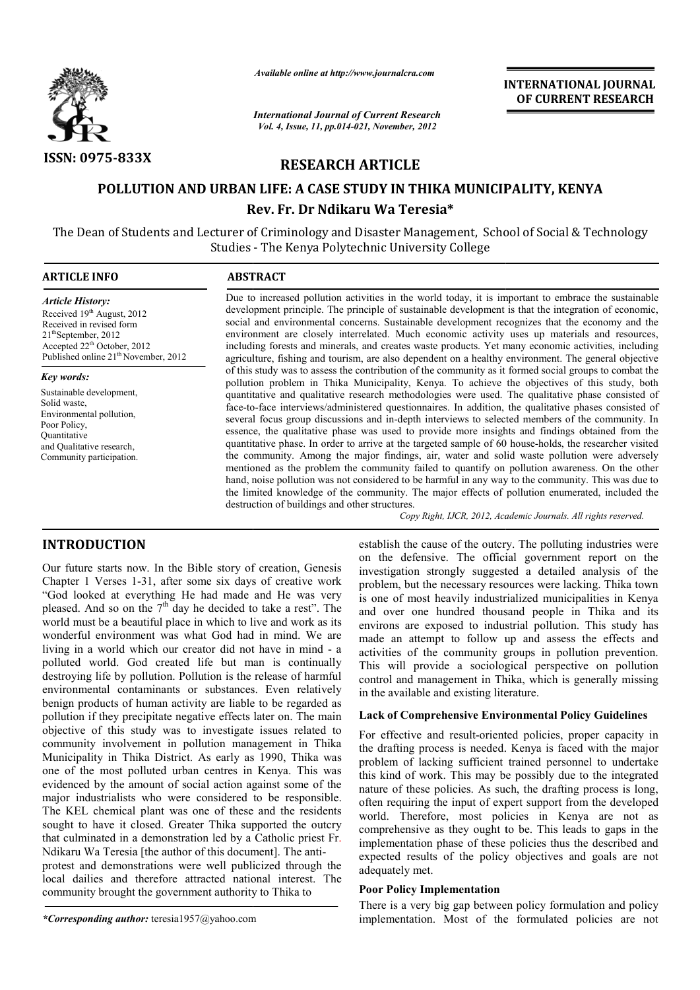

*Available online at http://www.journalcra.com*

*International Journal of Current Research Vol. 4, Issue, 11, pp.014-021, November, 2012*

# **INTERNATIONAL INTERNATIONAL JOURNAL OF CURRENT RESEARCH**

**RESEARCH ARTICLE**

# **POLLUTION AND URBAN LIFE: A CASE STUDY IN THIKA MUNICIPALITY, KENYA A CASE Rev. Fr. Dr Ndikaru Wa Teresia\***

The Dean of Students and Lecturer of Criminology and Disaster Management, School of Social & Technology Studies - The Kenya Polytechnic University College

| <b>ARTICLE INFO</b>                                                                                                                                                                                          | <b>ABSTRACT</b>                                                                                                                                                                                                                                                                                                                                                                                                                                                                                                                                                                                                                |
|--------------------------------------------------------------------------------------------------------------------------------------------------------------------------------------------------------------|--------------------------------------------------------------------------------------------------------------------------------------------------------------------------------------------------------------------------------------------------------------------------------------------------------------------------------------------------------------------------------------------------------------------------------------------------------------------------------------------------------------------------------------------------------------------------------------------------------------------------------|
| <b>Article History:</b><br>Received $19th$ August, 2012<br>Received in revised form<br>$21^{\text{th}}$ September, 2012<br>Accepted $22th$ October, 2012<br>Published online 21 <sup>th</sup> November, 2012 | Due to increased pollution activities in the world today, it is important to embrace the sustainable<br>development principle. The principle of sustainable development is that the integration of economic,<br>social and environmental concerns. Sustainable development recognizes that the economy and the<br>environment are closely interrelated. Much economic activity uses up materials and resources,<br>including forests and minerals, and creates waste products. Yet many economic activities, including<br>agriculture, fishing and tourism, are also dependent on a healthy environment. The general objective |
| Key words:                                                                                                                                                                                                   | of this study was to assess the contribution of the community as it formed social groups to combat the<br>pollution problem in Thika Municipality, Kenya. To achieve the objectives of this study, both                                                                                                                                                                                                                                                                                                                                                                                                                        |
| Sustainable development,                                                                                                                                                                                     | quantitative and qualitative research methodologies were used. The qualitative phase consisted of                                                                                                                                                                                                                                                                                                                                                                                                                                                                                                                              |

Solid waste, Environmental pollution, Poor Policy, **Ouantitative** and Qualitative research, Community participation.

face-to-face interviews/administered questionnaires. In addition, the qualitative phases consisted of several focus group discussions and in-depth interviews to selected members of the community. In essence, the qualitative phase was used to provide more insights and findings obtained from the face-to-face interviews/administered questionnaires. In addition, the qualitative phases consisted of several focus group discussions and in-depth interviews to selected members of the community. In essence, the qualitativ the community. Among the major findings, air, water and solid waste pollution were adversely mentioned as the problem the community failed to quantify on pollution awareness. On the other the community. Among the major findings, air, water and solid waste pollution were adversely mentioned as the problem the community failed to quantify on pollution awareness. On the other hand, noise pollution was not cons the limited knowledge of the community. The major effects of pollution enumerated, included the knowledge destruction of buildings and other structures. Copy Right, IJCR, 2012, Academic Journals. All rights reserved. INTERNATIONAL JOURNAL<br>
Convention: 2012<br>
Convention: 2013<br>
Convention: 2013<br>
Convention: 2012<br>
21, Moremalog. 2012<br> **ARTICLE**<br> **ARTICLE**<br> **DDY IN THIKA MUNICIPALITY, KENYA<br>
ARTICLE**<br> **DDY IN THIKA MUNICIPALITY, KENYA**<br>
WE

# **INTRODUCTION**

Our future starts now. In the Bible story of creation, Genesis Chapter 1 Verses 1-31, after some six days of creative work "God looked at everything He had made and He was very pleased. And so on the  $7<sup>th</sup>$  day he decided to take a rest". The world must be a beautiful place in which to live and work as its wonderful environment was what God had in mind. We are living in a world which our creator did not have in mind polluted world. God created life but man is continually destroying life by pollution. Pollution is the release of harmful environmental contaminants or substances. Even relatively benign products of human activity are liable to be regarded as pollution if they precipitate negative effects later on. The main objective of this study was to investigate issues related to community involvement in pollution management in Thika Municipality in Thika District. As early as 1990, Thika was one of the most polluted urban centres in Kenya. This was evidenced by the amount of social action against some of the major industrialists who were considered to be responsible. The KEL chemical plant was one of these and the residents sought to have it closed. Greater Thika supported the outcry that culminated in a demonstration led by a Catholic priest Fr Ndikaru Wa Teresia [the author of this document]. The antiprotest and demonstrations were well publicized through the local dailies and therefore attracted national interest. The community brought the government authority to Thika to 31, after some six days of creative work<br>rything He had made and He was very<br>the  $7<sup>th</sup>$  day he decided to take a rest". The<br>ttiful place in which to live and work as its<br>ent was what God had in mind. We are<br>nich our c mical plant was one of these and the residents<br>e it closed. Greater Thika supported the outcry<br>d in a demonstration led by a Catholic priest Fr. establish the cause of the outcry. The polluting<br>
or the difference six days of creative work<br>
investigation strongly suggested a detailed<br>
ing the had made and He was very<br>
<sup>th</sup> day he decided to take a rest<sup>n</sup>. The one o

*\*Corresponding author:* teresia1957@yahoo.com

on the defensive. The official government report on the investigation strongly suggested a detailed analysis of the problem, but the necessary resources were lacking. Thika town is one of most heavily industrialized municipalities in Kenya and over one hundred thousand people in Thika and its environs are exposed to industrial pollution. This study has made an attempt to follow up and assess the effects and activities of the community groups in pollution prevention. This will provide a sociological perspective on pollution control and management in Thika, which is generally missing in the available and existing literature. establish the cause of the outcry. The polluting industries were investigation strongly suggested a detailed analysis of the problem, but the necessary resources were lacking. Thika town is one of most heavily industrialized municipalities in Kenya and over one hundred thousand people i made an attempt to follow up and assess the activities of the community groups in pollution This will provide a sociological perspective of control and management in Thika, which is generin the available and existing liter

# **Lack of Comprehensive Environmental Policy Guidelines Lack of Comprehensive**

For effective and result-oriented policies, proper capacity in the drafting process is needed. Kenya is faced with the major problem of lacking sufficient trained personnel to undertake this kind of work. This may be possibly due to the integrated nature of these policies. As such, the drafting process is long, often requiring the input of expert support from the developed world. Therefore, most policies in Kenya are not as comprehensive as they ought to be. This leads to gaps in the implementation phase of these policies thus the described and expected results of the policy objectives and goals are not adequately met.

### **Poor Policy Implementation**

There is a very big gap between policy formulation and policy implementation. Most of the formulated policies are not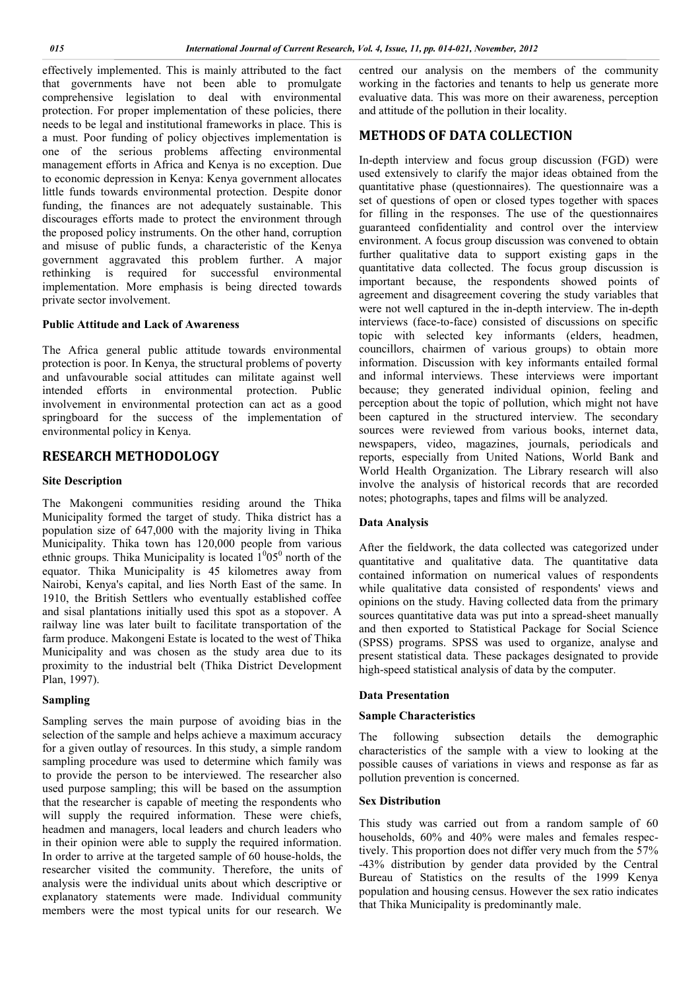effectively implemented. This is mainly attributed to the fact that governments have not been able to promulgate comprehensive legislation to deal with environmental protection. For proper implementation of these policies, there needs to be legal and institutional frameworks in place. This is a must. Poor funding of policy objectives implementation is one of the serious problems affecting environmental management efforts in Africa and Kenya is no exception. Due to economic depression in Kenya: Kenya government allocates little funds towards environmental protection. Despite donor funding, the finances are not adequately sustainable. This discourages efforts made to protect the environment through the proposed policy instruments. On the other hand, corruption and misuse of public funds, a characteristic of the Kenya government aggravated this problem further. A major rethinking is required for successful environmental implementation. More emphasis is being directed towards private sector involvement.

### **Public Attitude and Lack of Awareness**

The Africa general public attitude towards environmental protection is poor. In Kenya, the structural problems of poverty and unfavourable social attitudes can militate against well intended efforts in environmental protection. Public involvement in environmental protection can act as a good springboard for the success of the implementation of environmental policy in Kenya.

# **RESEARCH METHODOLOGY**

#### **Site Description**

The Makongeni communities residing around the Thika Municipality formed the target of study. Thika district has a population size of 647,000 with the majority living in Thika Municipality. Thika town has 120,000 people from various ethnic groups. Thika Municipality is located  $1^{0}05^{0}$  north of the equator. Thika Municipality is 45 kilometres away from Nairobi, Kenya's capital, and lies North East of the same. In 1910, the British Settlers who eventually established coffee and sisal plantations initially used this spot as a stopover. A railway line was later built to facilitate transportation of the farm produce. Makongeni Estate is located to the west of Thika Municipality and was chosen as the study area due to its proximity to the industrial belt (Thika District Development Plan, 1997).

## **Sampling**

Sampling serves the main purpose of avoiding bias in the selection of the sample and helps achieve a maximum accuracy for a given outlay of resources. In this study, a simple random sampling procedure was used to determine which family was to provide the person to be interviewed. The researcher also used purpose sampling; this will be based on the assumption that the researcher is capable of meeting the respondents who will supply the required information. These were chiefs, headmen and managers, local leaders and church leaders who in their opinion were able to supply the required information. In order to arrive at the targeted sample of 60 house-holds, the researcher visited the community. Therefore, the units of analysis were the individual units about which descriptive or explanatory statements were made. Individual community members were the most typical units for our research. We centred our analysis on the members of the community working in the factories and tenants to help us generate more evaluative data. This was more on their awareness, perception and attitude of the pollution in their locality.

# **METHODS OF DATA COLLECTION**

In-depth interview and focus group discussion (FGD) were used extensively to clarify the major ideas obtained from the quantitative phase (questionnaires). The questionnaire was a set of questions of open or closed types together with spaces for filling in the responses. The use of the questionnaires guaranteed confidentiality and control over the interview environment. A focus group discussion was convened to obtain further qualitative data to support existing gaps in the quantitative data collected. The focus group discussion is important because, the respondents showed points of agreement and disagreement covering the study variables that were not well captured in the in-depth interview. The in-depth interviews (face-to-face) consisted of discussions on specific topic with selected key informants (elders, headmen, councillors, chairmen of various groups) to obtain more information. Discussion with key informants entailed formal and informal interviews. These interviews were important because; they generated individual opinion, feeling and perception about the topic of pollution, which might not have been captured in the structured interview. The secondary sources were reviewed from various books, internet data, newspapers, video, magazines, journals, periodicals and reports, especially from United Nations, World Bank and World Health Organization. The Library research will also involve the analysis of historical records that are recorded notes; photographs, tapes and films will be analyzed.

### **Data Analysis**

After the fieldwork, the data collected was categorized under quantitative and qualitative data. The quantitative data contained information on numerical values of respondents while qualitative data consisted of respondents' views and opinions on the study. Having collected data from the primary sources quantitative data was put into a spread-sheet manually and then exported to Statistical Package for Social Science (SPSS) programs. SPSS was used to organize, analyse and present statistical data. These packages designated to provide high-speed statistical analysis of data by the computer.

#### **Data Presentation**

### **Sample Characteristics**

The following subsection details the demographic characteristics of the sample with a view to looking at the possible causes of variations in views and response as far as pollution prevention is concerned.

### **Sex Distribution**

This study was carried out from a random sample of 60 households, 60% and 40% were males and females respectively. This proportion does not differ very much from the 57% -43% distribution by gender data provided by the Central Bureau of Statistics on the results of the 1999 Kenya population and housing census. However the sex ratio indicates that Thika Municipality is predominantly male.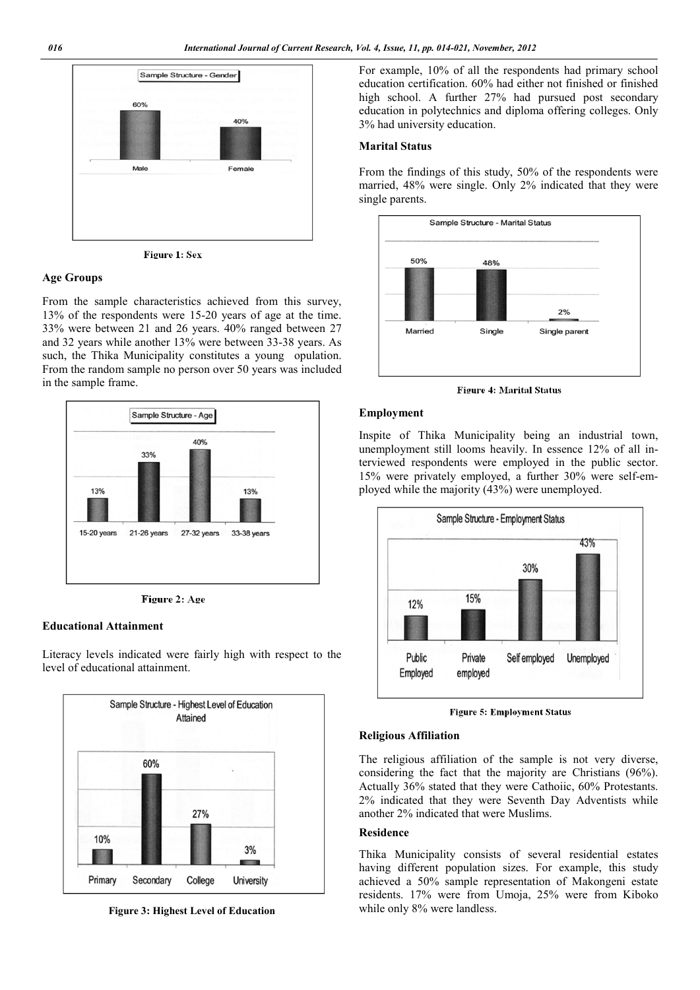

Figure 1: Sex

#### **Age Groups**

From the sample characteristics achieved from this survey, 13% of the respondents were 15-20 years of age at the time. 33% were between 21 and 26 years. 40% ranged between 27 and 32 years while another 13% were between 33-38 years. As such, the Thika Municipality constitutes a young opulation. From the random sample no person over 50 years was included in the sample frame.



Figure 2: Age

#### **Educational Attainment**

Literacy levels indicated were fairly high with respect to the level of educational attainment.



**Figure 3: Highest Level of Education**

For example, 10% of all the respondents had primary school education certification. 60% had either not finished or finished high school. A further 27% had pursued post secondary education in polytechnics and diploma offering colleges. Only 3% had university education.

### **Marital Status**

From the findings of this study, 50% of the respondents were married, 48% were single. Only 2% indicated that they were single parents.



**Figure 4: Marital Status** 

#### **Employment**

Inspite of Thika Municipality being an industrial town, unemployment still looms heavily. In essence 12% of all interviewed respondents were employed in the public sector. 15% were privately employed, a further 30% were self-employed while the majority (43%) were unemployed.



**Figure 5: Employment Status** 

#### **Religious Affiliation**

The religious affiliation of the sample is not very diverse, considering the fact that the majority are Christians (96%). Actually 36% stated that they were Cathoiic, 60% Protestants. 2% indicated that they were Seventh Day Adventists while another 2% indicated that were Muslims.

### **Residence**

Thika Municipality consists of several residential estates having different population sizes. For example, this study achieved a 50% sample representation of Makongeni estate residents. 17% were from Umoja, 25% were from Kiboko while only 8% were landless.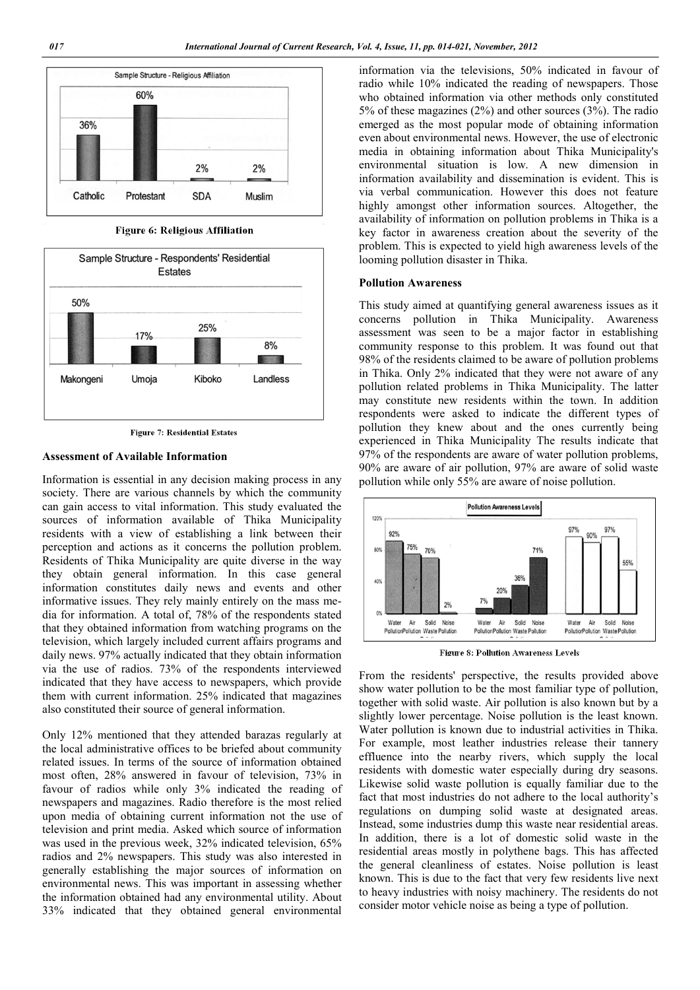

Figure 6: Religious Affiliation



**Figure 7: Residential Estates** 

# **Assessment of Available Information**

Information is essential in any decision making process in any society. There are various channels by which the community can gain access to vital information. This study evaluated the sources of information available of Thika Municipality residents with a view of establishing a link between their perception and actions as it concerns the pollution problem. Residents of Thika Municipality are quite diverse in the way they obtain general information. In this case general information constitutes daily news and events and other informative issues. They rely mainly entirely on the mass media for information. A total of, 78% of the respondents stated that they obtained information from watching programs on the television, which largely included current affairs programs and daily news. 97% actually indicated that they obtain information via the use of radios. 73% of the respondents interviewed indicated that they have access to newspapers, which provide them with current information. 25% indicated that magazines also constituted their source of general information.

Only 12% mentioned that they attended barazas regularly at the local administrative offices to be briefed about community related issues. In terms of the source of information obtained most often, 28% answered in favour of television, 73% in favour of radios while only 3% indicated the reading of newspapers and magazines. Radio therefore is the most relied upon media of obtaining current information not the use of television and print media. Asked which source of information was used in the previous week, 32% indicated television, 65% radios and 2% newspapers. This study was also interested in generally establishing the major sources of information on environmental news. This was important in assessing whether the information obtained had any environmental utility. About 33% indicated that they obtained general environmental

information via the televisions, 50% indicated in favour of radio while 10% indicated the reading of newspapers. Those who obtained information via other methods only constituted 5% of these magazines (2%) and other sources (3%). The radio emerged as the most popular mode of obtaining information even about environmental news. However, the use of electronic media in obtaining information about Thika Municipality's environmental situation is low. A new dimension in information availability and dissemination is evident. This is via verbal communication. However this does not feature highly amongst other information sources. Altogether, the availability of information on pollution problems in Thika is a key factor in awareness creation about the severity of the problem. This is expected to yield high awareness levels of the looming pollution disaster in Thika.

#### **Pollution Awareness**

This study aimed at quantifying general awareness issues as it concerns pollution in Thika Municipality. Awareness assessment was seen to be a major factor in establishing community response to this problem. It was found out that 98% of the residents claimed to be aware of pollution problems in Thika. Only 2% indicated that they were not aware of any pollution related problems in Thika Municipality. The latter may constitute new residents within the town. In addition respondents were asked to indicate the different types of pollution they knew about and the ones currently being experienced in Thika Municipality The results indicate that 97% of the respondents are aware of water pollution problems, 90% are aware of air pollution, 97% are aware of solid waste pollution while only 55% are aware of noise pollution.



**Figure 8: Pollution Awareness Levels** 

From the residents' perspective, the results provided above show water pollution to be the most familiar type of pollution, together with solid waste. Air pollution is also known but by a slightly lower percentage. Noise pollution is the least known. Water pollution is known due to industrial activities in Thika. For example, most leather industries release their tannery effluence into the nearby rivers, which supply the local residents with domestic water especially during dry seasons. Likewise solid waste pollution is equally familiar due to the fact that most industries do not adhere to the local authority's regulations on dumping solid waste at designated areas. Instead, some industries dump this waste near residential areas. In addition, there is a lot of domestic solid waste in the residential areas mostly in polythene bags. This has affected the general cleanliness of estates. Noise pollution is least known. This is due to the fact that very few residents live next to heavy industries with noisy machinery. The residents do not consider motor vehicle noise as being a type of pollution.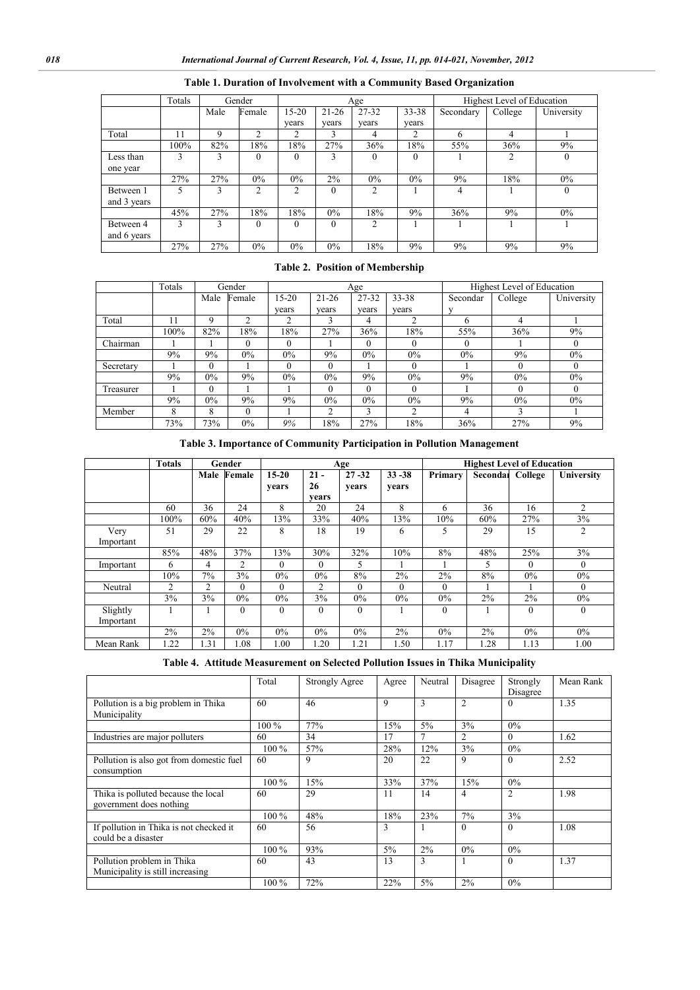|             | Totals |      | Gender         |                |           | Age            |           | Highest Level of Education |         |            |  |
|-------------|--------|------|----------------|----------------|-----------|----------------|-----------|----------------------------|---------|------------|--|
|             |        | Male | Female         | $15-20$        | $21 - 26$ | 27-32          | $33 - 38$ | Secondary                  | College | University |  |
|             |        |      |                | vears          | years     | vears          | vears     |                            |         |            |  |
| Total       | 11     | 9    | $\mathfrak{D}$ | $\overline{c}$ |           | 4              | 2         | 6                          | 4       |            |  |
|             | 100%   | 82%  | 18%            | 8%             | 27%       | 36%            | 18%       | 55%                        | 36%     | 9%         |  |
| Less than   | 3      | 3    | $\Omega$       | $\theta$       | 3         | $\theta$       | $\Omega$  |                            | 2       | $\theta$   |  |
| one year    |        |      |                |                |           |                |           |                            |         |            |  |
|             | 27%    | 27%  | $0\%$          | $0\%$          | 2%        | $0\%$          | $0\%$     | 9%                         | 18%     | $0\%$      |  |
| Between 1   | 5      | 3    | 2              | $\overline{c}$ | $\theta$  | $\mathfrak{D}$ |           | 4                          |         | $\theta$   |  |
| and 3 years |        |      |                |                |           |                |           |                            |         |            |  |
|             | 45%    | 27%  | 18%            | 18%            | $0\%$     | 18%            | 9%        | 36%                        | 9%      | $0\%$      |  |
| Between 4   | 3      | 3    | $\theta$       | $\theta$       | $\theta$  | $\mathfrak{D}$ |           |                            |         |            |  |
| and 6 years |        |      |                |                |           |                |           |                            |         |            |  |
|             | 27%    | 27%  | $0\%$          | $0\%$          | $0\%$     | 18%            | 9%        | 9%                         | 9%      | 9%         |  |

# **Table 1. Duration of Involvement with a Community Based Organization**

# **Table 2. Position of Membership**

|           | Totals |          | Gender   |          |                | Age      |               | Highest Level of Education |          |            |  |
|-----------|--------|----------|----------|----------|----------------|----------|---------------|----------------------------|----------|------------|--|
|           |        | Male     | Female   | $15-20$  | $21 - 26$      | 27-32    | $33 - 38$     | Secondar                   | College  | University |  |
|           |        |          |          | vears    | vears          | vears    | vears         | v                          |          |            |  |
| Total     | 11     | 9        | 2        | 2        | 3              | 4        |               | 6                          | 4        |            |  |
|           | 100%   | 82%      | 18%      | 18%      | 27%            | 36%      | 18%           | 55%                        | 36%      | 9%         |  |
| Chairman  |        |          | $\theta$ | $\theta$ |                | 0        | $\Omega$      | $\theta$                   |          | $\theta$   |  |
|           | 9%     | 9%       | $0\%$    | $0\%$    | 9%             | $0\%$    | $0\%$         | $0\%$                      | 9%       | $0\%$      |  |
| Secretary |        | 0        |          | $\theta$ | $\theta$       |          | $\theta$      |                            | $\theta$ | $\theta$   |  |
|           | 9%     | 0%       | 9%       | 0%       | $0\%$          | 9%       | 0%            | 9%                         | $0\%$    | 0%         |  |
| Treasurer |        | $\Omega$ |          |          | $\theta$       | $\theta$ | $\Omega$      |                            | $\Omega$ | $\Omega$   |  |
|           | 9%     | 0%       | 9%       | 9%       | $0\%$          | $0\%$    | 0%            | 9%                         | $0\%$    | 0%         |  |
| Member    | 8      | 8        | $\theta$ |          | $\overline{c}$ | 3        | $\mathcal{L}$ | 4                          | 3        |            |  |
|           | 73%    | 73%      | $0\%$    | 9%       | 8%             | 27%      | 18%           | 36%                        | 27%      | 9%         |  |

# **Table 3. Importance of Community Participation in Pollution Management**

|           | <b>Totals</b> |                | Gender      | Age       |                |           |           | <b>Highest Level of Education</b> |          |          |            |  |
|-----------|---------------|----------------|-------------|-----------|----------------|-----------|-----------|-----------------------------------|----------|----------|------------|--|
|           |               |                | Male Female | $15 - 20$ | $21 -$         | $27 - 32$ | $33 - 38$ | Primary                           | Secondar | College  | University |  |
|           |               |                |             | years     | 26             | vears     | years     |                                   |          |          |            |  |
|           |               |                |             |           | vears          |           |           |                                   |          |          |            |  |
|           | 60            | 36             | 24          | 8         | 20             | 24        | 8         | 6                                 | 36       | 16       | 2          |  |
|           | 100%          | 60%            | 40%         | 13%       | 33%            | 40%       | 13%       | 10%                               | 60%      | 27%      | 3%         |  |
| Very      | 51            | 29             | 22          | 8         | 18             | 19        | 6         | 5                                 | 29       | 15       | 2          |  |
| Important |               |                |             |           |                |           |           |                                   |          |          |            |  |
|           | 85%           | 48%            | 37%         | 13%       | 30%            | 32%       | 10%       | 8%                                | 48%      | 25%      | 3%         |  |
| Important | 6             | 4              | 2           | $\Omega$  | $\theta$       | 5         |           |                                   | 5        | $\theta$ | $\theta$   |  |
|           | 10%           | 7%             | $3\%$       | $0\%$     | $0\%$          | 8%        | $2\%$     | 2%                                | 8%       | $0\%$    | $0\%$      |  |
| Neutral   | 2             | $\overline{c}$ | $\theta$    | $\Omega$  | $\overline{2}$ | $\Omega$  | $\Omega$  | $\Omega$                          |          |          | $\Omega$   |  |
|           | 3%            | 3%             | $0\%$       | $0\%$     | 3%             | 0%        | 0%        | $0\%$                             | 2%       | 2%       | $0\%$      |  |
| Slightly  |               |                | $\theta$    | $\Omega$  | $\Omega$       | $\theta$  |           | $\theta$                          |          | 0        | $\Omega$   |  |
| Important |               |                |             |           |                |           |           |                                   |          |          |            |  |
|           | 2%            | 2%             | $0\%$       | $0\%$     | $0\%$          | 0%        | $2\%$     | 0%                                | 2%       | $0\%$    | $0\%$      |  |
| Mean Rank | 1.22          | 1.31           | 1.08        | 1.00      | .20            | 1.21      | 1.50      | 1.17                              | 1.28     | 1.13     | 1.00       |  |

|  | Table 4. Attitude Measurement on Selected Pollution Issues in Thika Municipality |  |  |  |  |  |  |
|--|----------------------------------------------------------------------------------|--|--|--|--|--|--|
|--|----------------------------------------------------------------------------------|--|--|--|--|--|--|

|                                                                | Total   | <b>Strongly Agree</b> | Agree | Neutral        | Disagree       | Strongly<br>Disagree | Mean Rank |
|----------------------------------------------------------------|---------|-----------------------|-------|----------------|----------------|----------------------|-----------|
| Pollution is a big problem in Thika<br>Municipality            | 60      | 46                    | 9     | 3              | $\overline{2}$ | $\Omega$             | 1.35      |
|                                                                | 100 %   | 77%                   | 15%   | $5\%$          | 3%             | $0\%$                |           |
| Industries are major polluters                                 | 60      | 34                    | 17    | $\overline{7}$ | $\overline{c}$ | $\Omega$             | 1.62      |
|                                                                | $100\%$ | 57%                   | 28%   | 12%            | 3%             | $0\%$                |           |
| Pollution is also got from domestic fuel<br>consumption        | 60      | 9                     | 20    | 22             | 9              | $\theta$             | 2.52      |
|                                                                | $100\%$ | 15%                   | 33%   | 37%            | 15%            | $0\%$                |           |
| Thika is polluted because the local<br>government does nothing | 60      | 29                    | 11    | 14             | 4              | $\overline{2}$       | 1.98      |
|                                                                | 100 %   | 48%                   | 18%   | 23%            | 7%             | 3%                   |           |
| If pollution in Thika is not checked it<br>could be a disaster | 60      | 56                    | 3     |                | $\theta$       | $\theta$             | 1.08      |
|                                                                | $100\%$ | 93%                   | 5%    | $2\%$          | $0\%$          | $0\%$                |           |
| Pollution problem in Thika<br>Municipality is still increasing | 60      | 43                    | 13    | 3              |                | $\theta$             | 1.37      |
|                                                                | 100 %   | 72%                   | 22%   | 5%             | $2\%$          | 0%                   |           |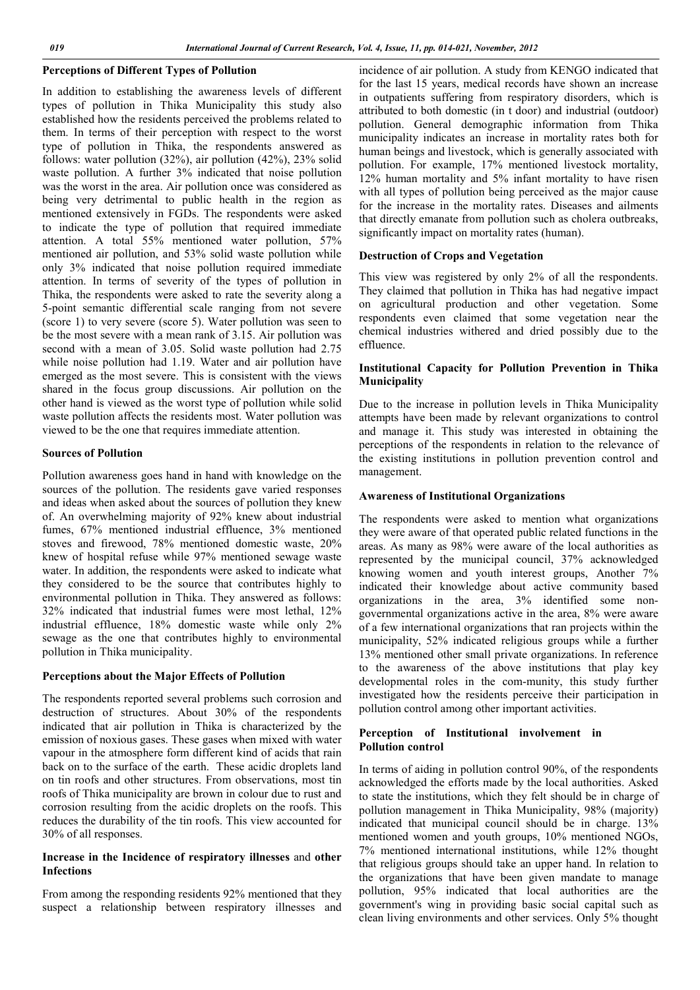## **Perceptions of Different Types of Pollution**

In addition to establishing the awareness levels of different types of pollution in Thika Municipality this study also established how the residents perceived the problems related to them. In terms of their perception with respect to the worst type of pollution in Thika, the respondents answered as follows: water pollution (32%), air pollution (42%), 23% solid waste pollution. A further 3% indicated that noise pollution was the worst in the area. Air pollution once was considered as being very detrimental to public health in the region as mentioned extensively in FGDs. The respondents were asked to indicate the type of pollution that required immediate attention. A total 55% mentioned water pollution, 57% mentioned air pollution, and 53% solid waste pollution while only 3% indicated that noise pollution required immediate attention. In terms of severity of the types of pollution in Thika, the respondents were asked to rate the severity along a 5-point semantic differential scale ranging from not severe (score 1) to very severe (score 5). Water pollution was seen to be the most severe with a mean rank of 3.15. Air pollution was second with a mean of 3.05. Solid waste pollution had 2.75 while noise pollution had 1.19. Water and air pollution have emerged as the most severe. This is consistent with the views shared in the focus group discussions. Air pollution on the other hand is viewed as the worst type of pollution while solid waste pollution affects the residents most. Water pollution was viewed to be the one that requires immediate attention.

#### **Sources of Pollution**

Pollution awareness goes hand in hand with knowledge on the sources of the pollution. The residents gave varied responses and ideas when asked about the sources of pollution they knew of. An overwhelming majority of 92% knew about industrial fumes, 67% mentioned industrial effluence, 3% mentioned stoves and firewood, 78% mentioned domestic waste, 20% knew of hospital refuse while 97% mentioned sewage waste water. In addition, the respondents were asked to indicate what they considered to be the source that contributes highly to environmental pollution in Thika. They answered as follows: 32% indicated that industrial fumes were most lethal, 12% industrial effluence, 18% domestic waste while only 2% sewage as the one that contributes highly to environmental pollution in Thika municipality.

### **Perceptions about the Major Effects of Pollution**

The respondents reported several problems such corrosion and destruction of structures. About 30% of the respondents indicated that air pollution in Thika is characterized by the emission of noxious gases. These gases when mixed with water vapour in the atmosphere form different kind of acids that rain back on to the surface of the earth. These acidic droplets land on tin roofs and other structures. From observations, most tin roofs of Thika municipality are brown in colour due to rust and corrosion resulting from the acidic droplets on the roofs. This reduces the durability of the tin roofs. This view accounted for 30% of all responses.

### **Increase in the Incidence of respiratory illnesses** and **other Infections**

From among the responding residents 92% mentioned that they suspect a relationship between respiratory illnesses and incidence of air pollution. A study from KENGO indicated that for the last 15 years, medical records have shown an increase in outpatients suffering from respiratory disorders, which is attributed to both domestic (in t door) and industrial (outdoor) pollution. General demographic information from Thika municipality indicates an increase in mortality rates both for human beings and livestock, which is generally associated with pollution. For example, 17% mentioned livestock mortality, 12% human mortality and 5% infant mortality to have risen with all types of pollution being perceived as the major cause for the increase in the mortality rates. Diseases and ailments that directly emanate from pollution such as cholera outbreaks, significantly impact on mortality rates (human).

#### **Destruction of Crops and Vegetation**

This view was registered by only 2% of all the respondents. They claimed that pollution in Thika has had negative impact on agricultural production and other vegetation. Some respondents even claimed that some vegetation near the chemical industries withered and dried possibly due to the effluence.

### **Institutional Capacity for Pollution Prevention in Thika Municipality**

Due to the increase in pollution levels in Thika Municipality attempts have been made by relevant organizations to control and manage it. This study was interested in obtaining the perceptions of the respondents in relation to the relevance of the existing institutions in pollution prevention control and management.

#### **Awareness of Institutional Organizations**

The respondents were asked to mention what organizations they were aware of that operated public related functions in the areas. As many as 98% were aware of the local authorities as represented by the municipal council, 37% acknowledged knowing women and youth interest groups, Another 7% indicated their knowledge about active community based organizations in the area, 3% identified some nongovernmental organizations active in the area, 8% were aware of a few international organizations that ran projects within the municipality, 52% indicated religious groups while a further 13% mentioned other small private organizations. In reference to the awareness of the above institutions that play key developmental roles in the com-munity, this study further investigated how the residents perceive their participation in pollution control among other important activities.

### **Perception of Institutional involvement in Pollution control**

In terms of aiding in pollution control 90%, of the respondents acknowledged the efforts made by the local authorities. Asked to state the institutions, which they felt should be in charge of pollution management in Thika Municipality, 98% (majority) indicated that municipal council should be in charge. 13% mentioned women and youth groups, 10% mentioned NGOs, 7% mentioned international institutions, while 12% thought that religious groups should take an upper hand. In relation to the organizations that have been given mandate to manage pollution, 95% indicated that local authorities are the government's wing in providing basic social capital such as clean living environments and other services. Only 5% thought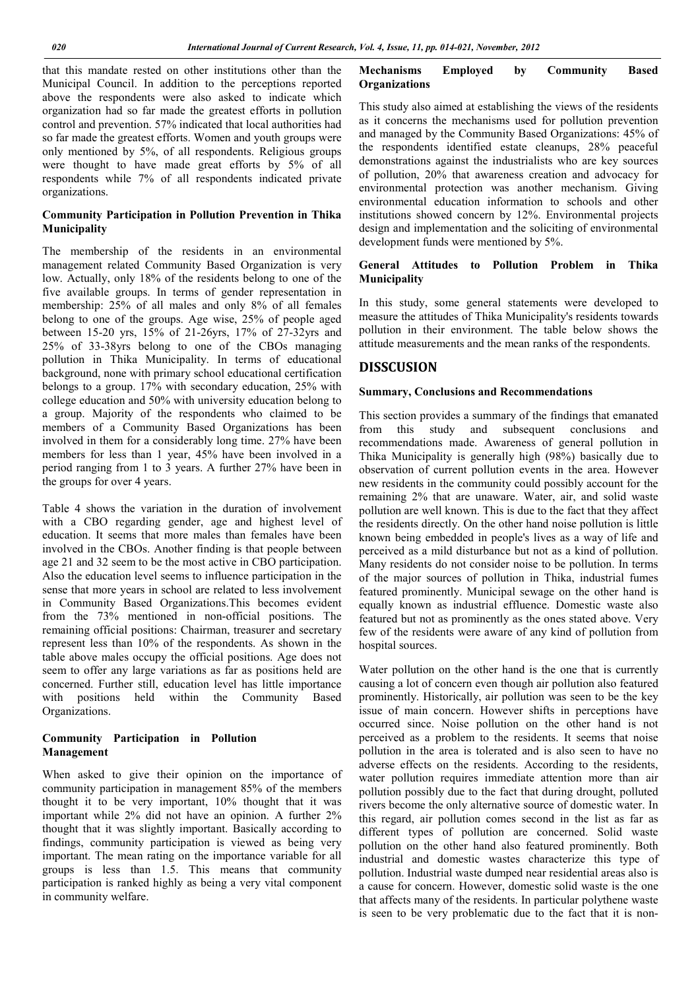that this mandate rested on other institutions other than the Municipal Council. In addition to the perceptions reported above the respondents were also asked to indicate which organization had so far made the greatest efforts in pollution control and prevention. 57% indicated that local authorities had so far made the greatest efforts. Women and youth groups were only mentioned by 5%, of all respondents. Religious groups were thought to have made great efforts by 5% of all respondents while 7% of all respondents indicated private organizations.

# **Community Participation in Pollution Prevention in Thika Municipality**

The membership of the residents in an environmental management related Community Based Organization is very low. Actually, only 18% of the residents belong to one of the five available groups. In terms of gender representation in membership: 25% of all males and only 8% of all females belong to one of the groups. Age wise, 25% of people aged between 15-20 yrs, 15% of 21-26yrs, 17% of 27-32yrs and 25% of 33-38yrs belong to one of the CBOs managing pollution in Thika Municipality. In terms of educational background, none with primary school educational certification belongs to a group. 17% with secondary education, 25% with college education and 50% with university education belong to a group. Majority of the respondents who claimed to be members of a Community Based Organizations has been involved in them for a considerably long time. 27% have been members for less than 1 year, 45% have been involved in a period ranging from 1 to 3 years. A further 27% have been in the groups for over 4 years.

Table 4 shows the variation in the duration of involvement with a CBO regarding gender, age and highest level of education. It seems that more males than females have been involved in the CBOs. Another finding is that people between age 21 and 32 seem to be the most active in CBO participation. Also the education level seems to influence participation in the sense that more years in school are related to less involvement in Community Based Organizations.This becomes evident from the 73% mentioned in non-official positions. The remaining official positions: Chairman, treasurer and secretary represent less than 10% of the respondents. As shown in the table above males occupy the official positions. Age does not seem to offer any large variations as far as positions held are concerned. Further still, education level has little importance with positions held within the Community Based Organizations.

# **Community Participation in Pollution Management**

When asked to give their opinion on the importance of community participation in management 85% of the members thought it to be very important, 10% thought that it was important while 2% did not have an opinion. A further 2% thought that it was slightly important. Basically according to findings, community participation is viewed as being very important. The mean rating on the importance variable for all groups is less than 1.5. This means that community participation is ranked highly as being a very vital component in community welfare.

# **Mechanisms Employed by Community Based Organizations**

This study also aimed at establishing the views of the residents as it concerns the mechanisms used for pollution prevention and managed by the Community Based Organizations: 45% of the respondents identified estate cleanups, 28% peaceful demonstrations against the industrialists who are key sources of pollution, 20% that awareness creation and advocacy for environmental protection was another mechanism. Giving environmental education information to schools and other institutions showed concern by 12%. Environmental projects design and implementation and the soliciting of environmental development funds were mentioned by 5%.

# **General Attitudes to Pollution Problem in Thika Municipality**

In this study, some general statements were developed to measure the attitudes of Thika Municipality's residents towards pollution in their environment. The table below shows the attitude measurements and the mean ranks of the respondents.

# **DISSCUSION**

# **Summary, Conclusions and Recommendations**

This section provides a summary of the findings that emanated<br>from this study and subsequent conclusions and study and subsequent conclusions and recommendations made. Awareness of general pollution in Thika Municipality is generally high (98%) basically due to observation of current pollution events in the area. However new residents in the community could possibly account for the remaining 2% that are unaware. Water, air, and solid waste pollution are well known. This is due to the fact that they affect the residents directly. On the other hand noise pollution is little known being embedded in people's lives as a way of life and perceived as a mild disturbance but not as a kind of pollution. Many residents do not consider noise to be pollution. In terms of the major sources of pollution in Thika, industrial fumes featured prominently. Municipal sewage on the other hand is equally known as industrial effluence. Domestic waste also featured but not as prominently as the ones stated above. Very few of the residents were aware of any kind of pollution from hospital sources.

Water pollution on the other hand is the one that is currently causing a lot of concern even though air pollution also featured prominently. Historically, air pollution was seen to be the key issue of main concern. However shifts in perceptions have occurred since. Noise pollution on the other hand is not perceived as a problem to the residents. It seems that noise pollution in the area is tolerated and is also seen to have no adverse effects on the residents. According to the residents, water pollution requires immediate attention more than air pollution possibly due to the fact that during drought, polluted rivers become the only alternative source of domestic water. In this regard, air pollution comes second in the list as far as different types of pollution are concerned. Solid waste pollution on the other hand also featured prominently. Both industrial and domestic wastes characterize this type of pollution. Industrial waste dumped near residential areas also is a cause for concern. However, domestic solid waste is the one that affects many of the residents. In particular polythene waste is seen to be very problematic due to the fact that it is non